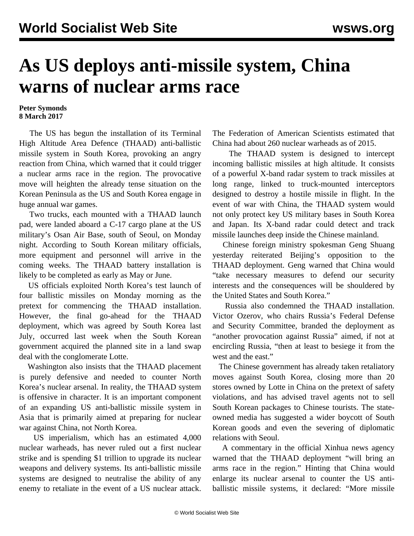## **As US deploys anti-missile system, China warns of nuclear arms race**

## **Peter Symonds 8 March 2017**

 The US has begun the installation of its Terminal High Altitude Area Defence (THAAD) anti-ballistic missile system in South Korea, provoking an angry reaction from China, which warned that it could trigger a nuclear arms race in the region. The provocative move will heighten the already tense situation on the Korean Peninsula as the US and South Korea engage in huge annual war games.

 Two trucks, each mounted with a THAAD launch pad, were landed aboard a C-17 cargo plane at the US military's Osan Air Base, south of Seoul, on Monday night. According to South Korean military officials, more equipment and personnel will arrive in the coming weeks. The THAAD battery installation is likely to be completed as early as May or June.

 US officials exploited North Korea's test launch of four ballistic missiles on Monday morning as the pretext for commencing the THAAD installation. However, the final go-ahead for the THAAD deployment, which was agreed by South Korea last July, occurred last week when the South Korean government acquired the planned site in a land swap deal with the conglomerate Lotte.

 Washington also insists that the THAAD placement is purely defensive and needed to counter North Korea's nuclear arsenal. In reality, the THAAD system is offensive in character. It is an important component of an expanding US anti-ballistic missile system in Asia that is primarily aimed at preparing for nuclear war against China, not North Korea.

 US imperialism, which has an estimated 4,000 nuclear warheads, has never ruled out a first nuclear strike and is spending \$1 trillion to upgrade its nuclear weapons and delivery systems. Its anti-ballistic missile systems are designed to neutralise the ability of any enemy to retaliate in the event of a US nuclear attack. The Federation of American Scientists estimated that China had about 260 nuclear warheads as of 2015.

 The THAAD system is designed to intercept incoming ballistic missiles at high altitude. It consists of a powerful X-band radar system to track missiles at long range, linked to truck-mounted interceptors designed to destroy a hostile missile in flight. In the event of war with China, the THAAD system would not only protect key US military bases in South Korea and Japan. Its X-band radar could detect and track missile launches deep inside the Chinese mainland.

 Chinese foreign ministry spokesman Geng Shuang yesterday reiterated Beijing's opposition to the THAAD deployment. Geng warned that China would "take necessary measures to defend our security interests and the consequences will be shouldered by the United States and South Korea."

 Russia also condemned the THAAD installation. Victor Ozerov, who chairs Russia's Federal Defense and Security Committee, branded the deployment as "another provocation against Russia" aimed, if not at encircling Russia, "then at least to besiege it from the west and the east."

 The Chinese government has already taken retaliatory moves against South Korea, closing more than 20 stores owned by Lotte in China on the pretext of safety violations, and has advised travel agents not to sell South Korean packages to Chinese tourists. The stateowned media has suggested a wider boycott of South Korean goods and even the severing of diplomatic relations with Seoul.

 A commentary in the official Xinhua news agency warned that the THAAD deployment "will bring an arms race in the region." Hinting that China would enlarge its nuclear arsenal to counter the US antiballistic missile systems, it declared: "More missile